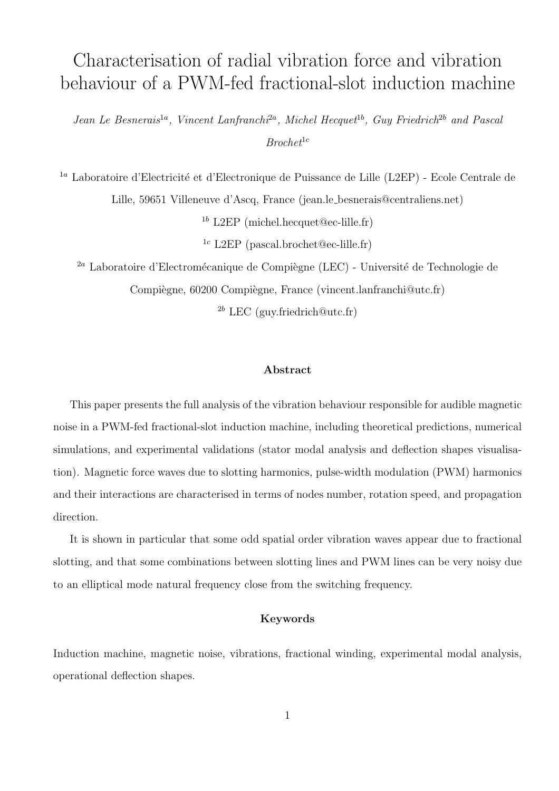# Characterisation of radial vibration force and vibration behaviour of a PWM-fed fractional-slot induction machine

Jean Le Besnerais<sup>1a</sup>, Vincent Lanfranchi<sup>2a</sup>, Michel Hecquet<sup>1b</sup>, Guy Friedrich<sup>2b</sup> and Pascal  $Brochet^{1c}$ 

 $^{1a}$  Laboratoire d'Electricité et d'Electronique de Puissance de Lille (L2EP) - Ecole Centrale de Lille, 59651 Villeneuve d'Ascq, France (jean.le besnerais@centraliens.net)

 $1<sup>b</sup>$  L2EP (michel.hecquet@ec-lille.fr)

<sup>1c</sup> L2EP (pascal.brochet@ec-lille.fr)

 $^{2a}$  Laboratoire d'Electromécanique de Compiègne (LEC) - Université de Technologie de Compiègne, 60200 Compiègne, France (vincent.lanfranchi@utc.fr)

 $^{2b}$  LEC (guy.friedrich@utc.fr)

#### Abstract

This paper presents the full analysis of the vibration behaviour responsible for audible magnetic noise in a PWM-fed fractional-slot induction machine, including theoretical predictions, numerical simulations, and experimental validations (stator modal analysis and deflection shapes visualisation). Magnetic force waves due to slotting harmonics, pulse-width modulation (PWM) harmonics and their interactions are characterised in terms of nodes number, rotation speed, and propagation direction.

It is shown in particular that some odd spatial order vibration waves appear due to fractional slotting, and that some combinations between slotting lines and PWM lines can be very noisy due to an elliptical mode natural frequency close from the switching frequency.

#### Keywords

Induction machine, magnetic noise, vibrations, fractional winding, experimental modal analysis, operational deflection shapes.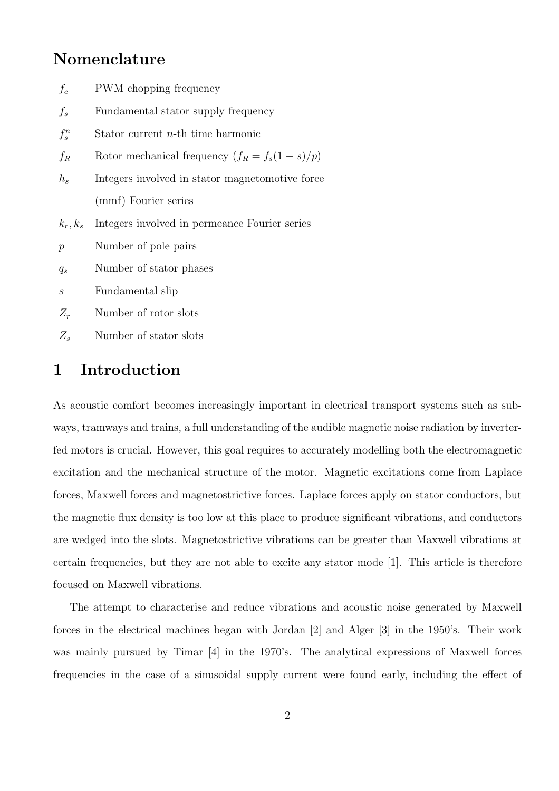# Nomenclature

| $f_c$            | PWM chopping frequency                          |  |  |  |
|------------------|-------------------------------------------------|--|--|--|
| $f_s$            | Fundamental stator supply frequency             |  |  |  |
| $f_s^n$          | Stator current $n$ -th time harmonic            |  |  |  |
| $f_R$            | Rotor mechanical frequency $(f_R = f_s(1-s)/p)$ |  |  |  |
| $h_s$            | Integers involved in stator magnetomotive force |  |  |  |
|                  | (mmf) Fourier series                            |  |  |  |
| $k_r, k_s$       | Integers involved in permeance Fourier series   |  |  |  |
| $\mathcal{p}$    | Number of pole pairs                            |  |  |  |
| $q_s$            | Number of stator phases                         |  |  |  |
| $\boldsymbol{s}$ | Fundamental slip                                |  |  |  |
| $Z_r$            | Number of rotor slots                           |  |  |  |
| $Z_s$            | Number of stator slots                          |  |  |  |
|                  |                                                 |  |  |  |

# 1 Introduction

As acoustic comfort becomes increasingly important in electrical transport systems such as subways, tramways and trains, a full understanding of the audible magnetic noise radiation by inverterfed motors is crucial. However, this goal requires to accurately modelling both the electromagnetic excitation and the mechanical structure of the motor. Magnetic excitations come from Laplace forces, Maxwell forces and magnetostrictive forces. Laplace forces apply on stator conductors, but the magnetic flux density is too low at this place to produce significant vibrations, and conductors are wedged into the slots. Magnetostrictive vibrations can be greater than Maxwell vibrations at certain frequencies, but they are not able to excite any stator mode [1]. This article is therefore focused on Maxwell vibrations.

The attempt to characterise and reduce vibrations and acoustic noise generated by Maxwell forces in the electrical machines began with Jordan [2] and Alger [3] in the 1950's. Their work was mainly pursued by Timar [4] in the 1970's. The analytical expressions of Maxwell forces frequencies in the case of a sinusoidal supply current were found early, including the effect of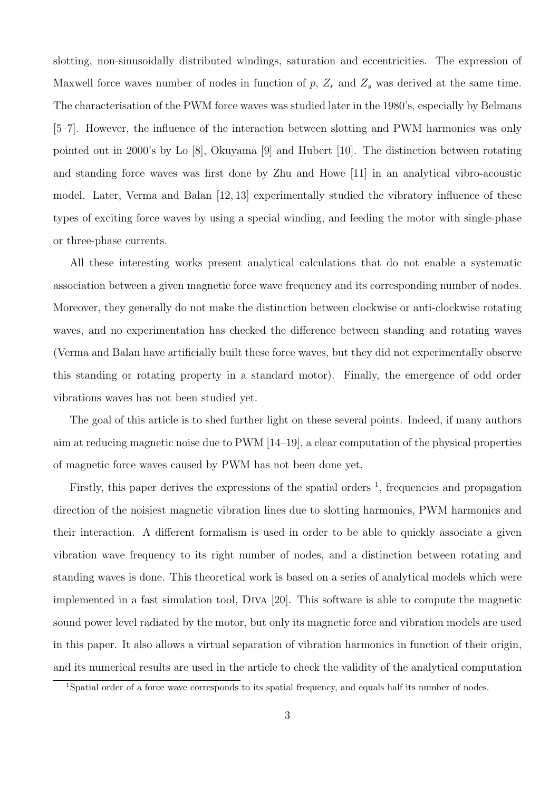slotting, non-sinusoidally distributed windings, saturation and eccentricities. The expression of Maxwell force waves number of nodes in function of  $p$ ,  $Z_r$  and  $Z_s$  was derived at the same time. The characterisation of the PWM force waves was studied later in the 1980's, especially by Belmans [5–7]. However, the influence of the interaction between slotting and PWM harmonics was only pointed out in 2000's by Lo [8], Okuyama [9] and Hubert [10]. The distinction between rotating and standing force waves was first done by Zhu and Howe [11] in an analytical vibro-acoustic model. Later, Verma and Balan [12, 13] experimentally studied the vibratory influence of these types of exciting force waves by using a special winding, and feeding the motor with single-phase or three-phase currents.

All these interesting works present analytical calculations that do not enable a systematic association between a given magnetic force wave frequency and its corresponding number of nodes. Moreover, they generally do not make the distinction between clockwise or anti-clockwise rotating waves, and no experimentation has checked the difference between standing and rotating waves (Verma and Balan have artificially built these force waves, but they did not experimentally observe this standing or rotating property in a standard motor). Finally, the emergence of odd order vibrations waves has not been studied yet.

The goal of this article is to shed further light on these several points. Indeed, if many authors aim at reducing magnetic noise due to PWM [14–19], a clear computation of the physical properties of magnetic force waves caused by PWM has not been done yet.

Firstly, this paper derives the expressions of the spatial orders  $<sup>1</sup>$ , frequencies and propagation</sup> direction of the noisiest magnetic vibration lines due to slotting harmonics, PWM harmonics and their interaction. A different formalism is used in order to be able to quickly associate a given vibration wave frequency to its right number of nodes, and a distinction between rotating and standing waves is done. This theoretical work is based on a series of analytical models which were implemented in a fast simulation tool, Diva [20]. This software is able to compute the magnetic sound power level radiated by the motor, but only its magnetic force and vibration models are used in this paper. It also allows a virtual separation of vibration harmonics in function of their origin, and its numerical results are used in the article to check the validity of the analytical computation

<sup>1</sup>Spatial order of a force wave corresponds to its spatial frequency, and equals half its number of nodes.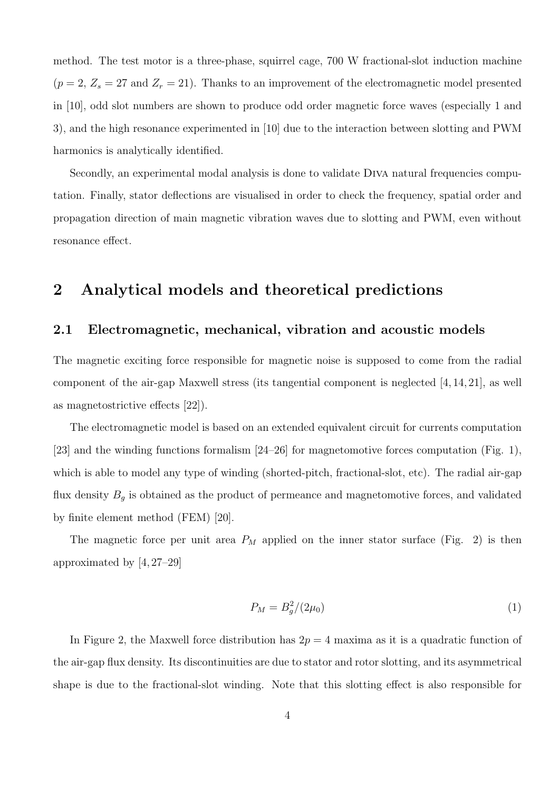method. The test motor is a three-phase, squirrel cage, 700 W fractional-slot induction machine  $(p = 2, Z_s = 27 \text{ and } Z_r = 21)$ . Thanks to an improvement of the electromagnetic model presented in [10], odd slot numbers are shown to produce odd order magnetic force waves (especially 1 and 3), and the high resonance experimented in [10] due to the interaction between slotting and PWM harmonics is analytically identified.

Secondly, an experimental modal analysis is done to validate Diva natural frequencies computation. Finally, stator deflections are visualised in order to check the frequency, spatial order and propagation direction of main magnetic vibration waves due to slotting and PWM, even without resonance effect.

# 2 Analytical models and theoretical predictions

### 2.1 Electromagnetic, mechanical, vibration and acoustic models

The magnetic exciting force responsible for magnetic noise is supposed to come from the radial component of the air-gap Maxwell stress (its tangential component is neglected [4, 14, 21], as well as magnetostrictive effects [22]).

The electromagnetic model is based on an extended equivalent circuit for currents computation [23] and the winding functions formalism [24–26] for magnetomotive forces computation (Fig. 1), which is able to model any type of winding (shorted-pitch, fractional-slot, etc). The radial air-gap flux density  $B_g$  is obtained as the product of permeance and magnetomotive forces, and validated by finite element method (FEM) [20].

The magnetic force per unit area  $P_M$  applied on the inner stator surface (Fig. 2) is then approximated by [4, 27–29]

$$
P_M = B_g^2 / (2\mu_0) \tag{1}
$$

In Figure 2, the Maxwell force distribution has  $2p = 4$  maxima as it is a quadratic function of the air-gap flux density. Its discontinuities are due to stator and rotor slotting, and its asymmetrical shape is due to the fractional-slot winding. Note that this slotting effect is also responsible for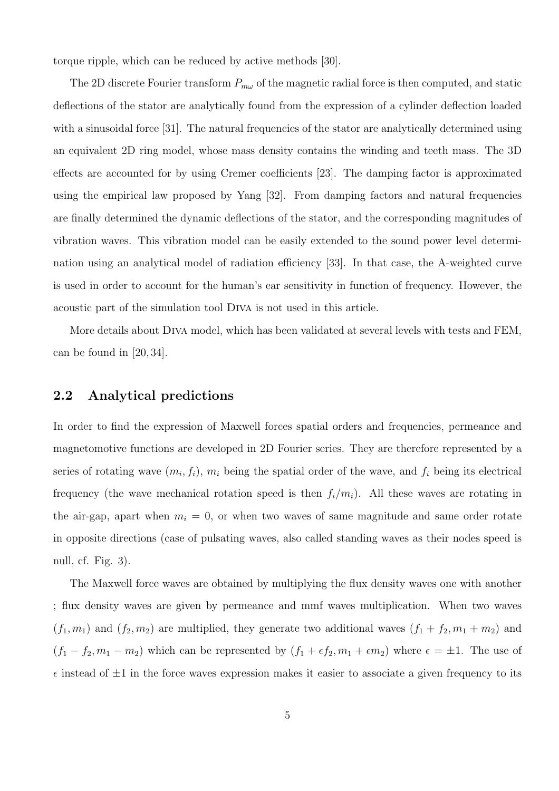torque ripple, which can be reduced by active methods [30].

The 2D discrete Fourier transform  $P_{m\omega}$  of the magnetic radial force is then computed, and static deflections of the stator are analytically found from the expression of a cylinder deflection loaded with a sinusoidal force [31]. The natural frequencies of the stator are analytically determined using an equivalent 2D ring model, whose mass density contains the winding and teeth mass. The 3D effects are accounted for by using Cremer coefficients [23]. The damping factor is approximated using the empirical law proposed by Yang [32]. From damping factors and natural frequencies are finally determined the dynamic deflections of the stator, and the corresponding magnitudes of vibration waves. This vibration model can be easily extended to the sound power level determination using an analytical model of radiation efficiency [33]. In that case, the A-weighted curve is used in order to account for the human's ear sensitivity in function of frequency. However, the acoustic part of the simulation tool Diva is not used in this article.

More details about Diva model, which has been validated at several levels with tests and FEM, can be found in [20, 34].

### 2.2 Analytical predictions

In order to find the expression of Maxwell forces spatial orders and frequencies, permeance and magnetomotive functions are developed in 2D Fourier series. They are therefore represented by a series of rotating wave  $(m_i, f_i)$ ,  $m_i$  being the spatial order of the wave, and  $f_i$  being its electrical frequency (the wave mechanical rotation speed is then  $f_i/m_i$ ). All these waves are rotating in the air-gap, apart when  $m_i = 0$ , or when two waves of same magnitude and same order rotate in opposite directions (case of pulsating waves, also called standing waves as their nodes speed is null, cf. Fig. 3).

The Maxwell force waves are obtained by multiplying the flux density waves one with another ; flux density waves are given by permeance and mmf waves multiplication. When two waves  $(f_1, m_1)$  and  $(f_2, m_2)$  are multiplied, they generate two additional waves  $(f_1 + f_2, m_1 + m_2)$  and  $(f_1 - f_2, m_1 - m_2)$  which can be represented by  $(f_1 + \epsilon f_2, m_1 + \epsilon m_2)$  where  $\epsilon = \pm 1$ . The use of  $\epsilon$  instead of  $\pm 1$  in the force waves expression makes it easier to associate a given frequency to its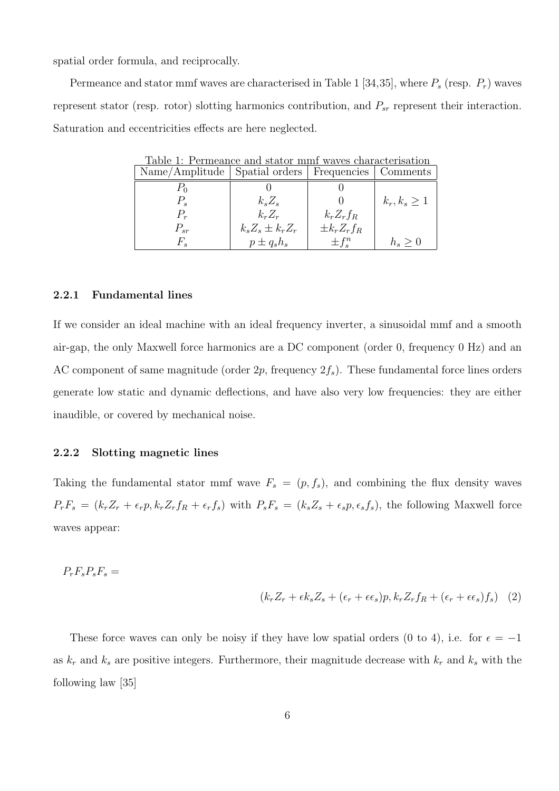spatial order formula, and reciprocally.

Permeance and stator mmf waves are characterised in Table 1 [34,35], where  $P_s$  (resp.  $P_r$ ) waves represent stator (resp. rotor) slotting harmonics contribution, and  $P_{sr}$  represent their interaction. Saturation and eccentricities effects are here neglected.

Table 1: Permeance and stator mmf waves characterisation

| Name/Amplitude   Spatial orders |                       | Frequencies       | Comments          |
|---------------------------------|-----------------------|-------------------|-------------------|
| $\Gamma_0$                      |                       |                   |                   |
| $P_s$                           | $k_s Z_s$             |                   | $k_r, k_s \geq 1$ |
| $P_r$                           | $k_r Z_r$             | $k_r Z_r f_R$     |                   |
| $P_{sr}$                        | $k_s Z_s \pm k_r Z_r$ | $\pm k_r Z_r f_R$ |                   |
| $F_s$                           | $p \pm q_s h_s$       | $\pm f^n_{s}$     | $h_s\geq 0$       |

#### 2.2.1 Fundamental lines

If we consider an ideal machine with an ideal frequency inverter, a sinusoidal mmf and a smooth air-gap, the only Maxwell force harmonics are a DC component (order 0, frequency 0 Hz) and an AC component of same magnitude (order  $2p$ , frequency  $2f_s$ ). These fundamental force lines orders generate low static and dynamic deflections, and have also very low frequencies: they are either inaudible, or covered by mechanical noise.

#### 2.2.2 Slotting magnetic lines

Taking the fundamental stator mmf wave  $F_s = (p, f_s)$ , and combining the flux density waves  $P_rF_s = (k_rZ_r + \epsilon_r p, k_rZ_rf_R + \epsilon_r f_s)$  with  $P_sF_s = (k_sZ_s + \epsilon_s p, \epsilon_s f_s)$ , the following Maxwell force waves appear:

$$
P_r F_s P_s F_s =
$$

$$
(k_r Z_r + \epsilon k_s Z_s + (\epsilon_r + \epsilon \epsilon_s) p, k_r Z_r f_R + (\epsilon_r + \epsilon \epsilon_s) f_s) \quad (2)
$$

These force waves can only be noisy if they have low spatial orders (0 to 4), i.e. for  $\epsilon = -1$ as  $k_r$  and  $k_s$  are positive integers. Furthermore, their magnitude decrease with  $k_r$  and  $k_s$  with the following law [35]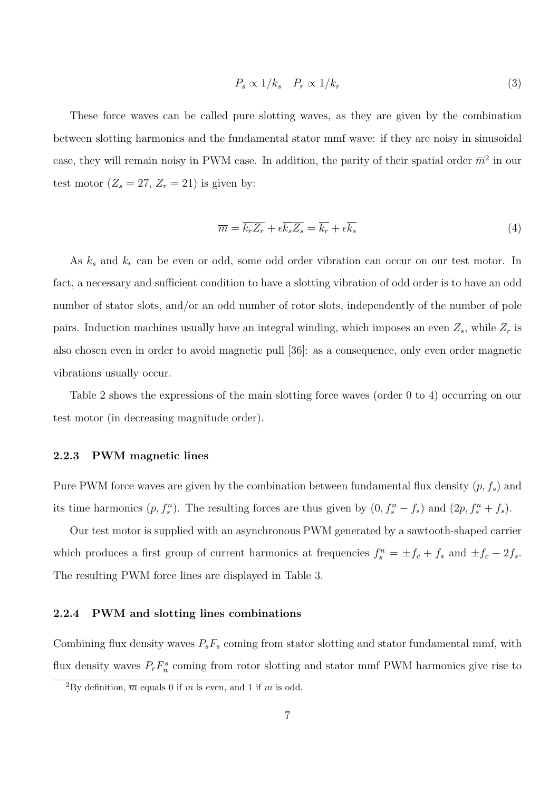$$
P_s \propto 1/k_s \quad P_r \propto 1/k_r \tag{3}
$$

These force waves can be called pure slotting waves, as they are given by the combination between slotting harmonics and the fundamental stator mmf wave: if they are noisy in sinusoidal case, they will remain noisy in PWM case. In addition, the parity of their spatial order  $\overline{m}^2$  in our test motor  $(Z_s = 27, Z_r = 21)$  is given by:

$$
\overline{m} = \overline{k_r Z_r} + \epsilon \overline{k_s Z_s} = \overline{k_r} + \epsilon \overline{k_s}
$$
\n(4)

As  $k_s$  and  $k_r$  can be even or odd, some odd order vibration can occur on our test motor. In fact, a necessary and sufficient condition to have a slotting vibration of odd order is to have an odd number of stator slots, and/or an odd number of rotor slots, independently of the number of pole pairs. Induction machines usually have an integral winding, which imposes an even  $Z_s$ , while  $Z_r$  is also chosen even in order to avoid magnetic pull [36]: as a consequence, only even order magnetic vibrations usually occur.

Table 2 shows the expressions of the main slotting force waves (order 0 to 4) occurring on our test motor (in decreasing magnitude order).

#### 2.2.3 PWM magnetic lines

Pure PWM force waves are given by the combination between fundamental flux density  $(p, f_s)$  and its time harmonics  $(p, f_s^n)$ . The resulting forces are thus given by  $(0, f_s^n - f_s)$  and  $(2p, f_s^n + f_s)$ .

Our test motor is supplied with an asynchronous PWM generated by a sawtooth-shaped carrier which produces a first group of current harmonics at frequencies  $f_s^n = \pm f_c + f_s$  and  $\pm f_c - 2f_s$ . The resulting PWM force lines are displayed in Table 3.

#### 2.2.4 PWM and slotting lines combinations

Combining flux density waves  $P_sF_s$  coming from stator slotting and stator fundamental mmf, with flux density waves  $P_r F_n^s$  coming from rotor slotting and stator mmf PWM harmonics give rise to

<sup>&</sup>lt;sup>2</sup>By definition,  $\overline{m}$  equals 0 if m is even, and 1 if m is odd.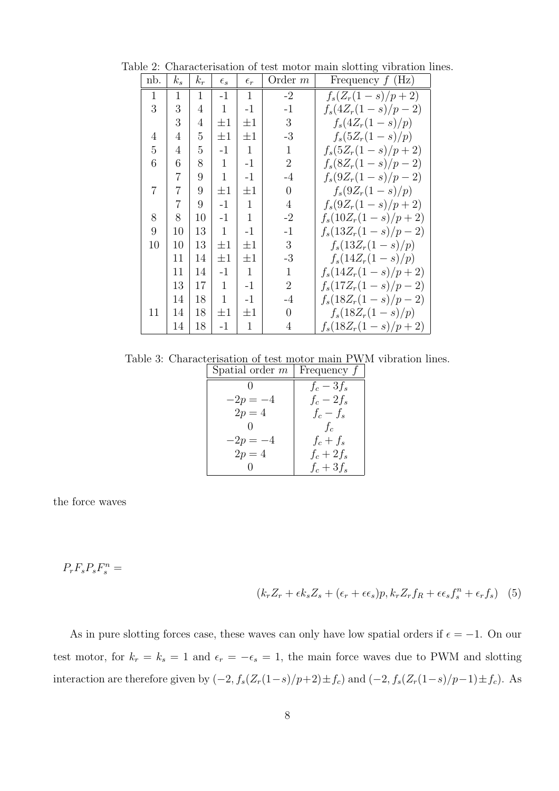Table 2: Characterisation of test motor main slotting vibration lines.

| nb.          | $k_{s}$        | $k_r$ | $\epsilon_{s}$ | $\epsilon_r$ | Order $m$      | Frequency $f(Hz)$     |
|--------------|----------------|-------|----------------|--------------|----------------|-----------------------|
| $\mathbf{1}$ | 1              | 1     | $-1$           | 1            | $-2$           | $f_s(Z_r(1-s)/p+2)$   |
| 3            | 3              | 4     | $\mathbf{1}$   | $-1$         | $-1$           | $f_s(4Z_r(1-s)/p-2)$  |
|              | 3              | 4     | $\pm 1$        | $\pm 1$      | 3              | $f_s(4Z_r(1-s)/p)$    |
| 4            | 4              | 5     | $\pm 1$        | $\pm 1$      | $-3$           | $f_s(5Z_r(1-s)/p)$    |
| 5            | 4              | 5     | $-1$           | $\mathbf{1}$ | $\mathbf{1}$   | $f_s(5Z_r(1-s)/p+2)$  |
| 6            | 6              | 8     | 1              | $-1$         | $\overline{2}$ | $f_s(8Z_r(1-s)/p-2)$  |
|              | $\overline{7}$ | 9     | 1              | $-1$         | $-4$           | $f_s(9Z_r(1-s)/p-2)$  |
| 7            | 7              | 9     | $\pm 1$        | $\pm 1$      | $\overline{0}$ | $f_s(9Z_r(1-s)/p)$    |
|              | 7              | 9     | $-1$           | $\mathbf 1$  | $\overline{4}$ | $f_s(9Z_r(1-s)/p+2)$  |
| 8            | 8              | 10    | $-1$           | $\mathbf 1$  | $-2$           | $f_s(10Z_r(1-s)/p+2)$ |
| 9            | 10             | 13    | $\mathbf{1}$   | $-1$         | $-1$           | $f_s(13Z_r(1-s)/p-2)$ |
| 10           | 10             | 13    | $\pm 1$        | $\pm 1$      | 3              | $f_s(13Z_r(1-s)/p)$   |
|              | 11             | 14    | $\pm 1$        | $\pm 1$      | $-3$           | $f_s(14Z_r(1-s)/p)$   |
|              | 11             | 14    | -1             | 1            | 1              | $f_s(14Z_r(1-s)/p+2)$ |
|              | 13             | 17    | 1              | -1           | $\overline{2}$ | $f_s(17Z_r(1-s)/p-2)$ |
|              | 14             | 18    | 1              | $-1$         | $-4$           | $f_s(18Z_r(1-s)/p-2)$ |
| 11           | 14             | 18    | $\pm 1$        | $\pm 1$      | $\overline{0}$ | $f_s(18Z_r(1-s)/p)$   |
|              | 14             | 18    | $-1$           | $\mathbf{1}$ | 4              | $f_s(18Z_r(1-s)/p+2)$ |

Table 3: Characterisation of test motor main PWM vibration lines. Spatial order  $m \mid$  Frequency  $f$ 

| ppatial order <i>in</i> | riequency j  |
|-------------------------|--------------|
|                         | $f_c-3f_s$   |
| $-2p = -4$              | $f_c-2f_s$   |
| $2p=4$                  | $f_c-f_s$    |
| $\mathcal{O}$           | $f_c$        |
| $-2p = -4$              | $f_c+f_s$    |
| $2p = 4$                | $f_c + 2f_s$ |
|                         | $f_c + 3f_s$ |

the force waves

 $P_rF_sP_sF_s^n =$ 

$$
(k_r Z_r + \epsilon k_s Z_s + (\epsilon_r + \epsilon \epsilon_s) p, k_r Z_r f_R + \epsilon \epsilon_s f_s^n + \epsilon_r f_s)
$$
 (5)

As in pure slotting forces case, these waves can only have low spatial orders if  $\epsilon = -1$ . On our test motor, for  $k_r = k_s = 1$  and  $\epsilon_r = -\epsilon_s = 1$ , the main force waves due to PWM and slotting interaction are therefore given by  $(-2, f_s(Z_r(1-s)/p+2) \pm f_c)$  and  $(-2, f_s(Z_r(1-s)/p-1) \pm f_c)$ . As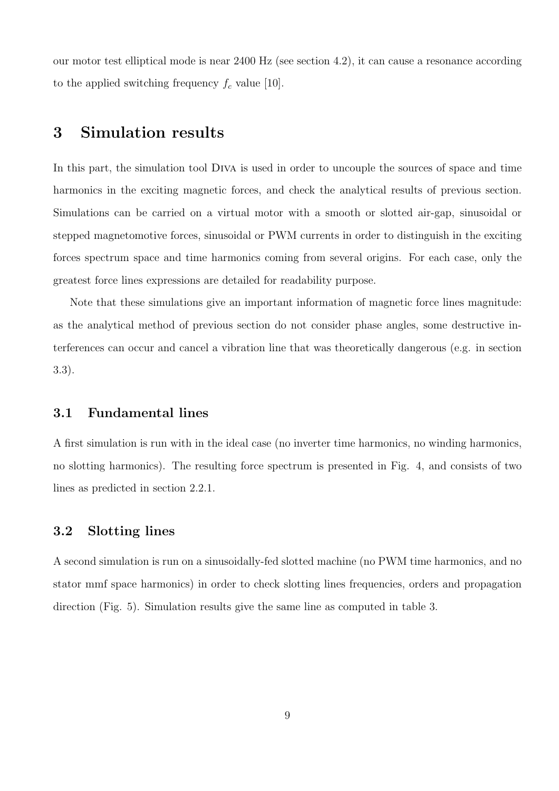our motor test elliptical mode is near 2400 Hz (see section 4.2), it can cause a resonance according to the applied switching frequency  $f_c$  value [10].

# 3 Simulation results

In this part, the simulation tool Diva is used in order to uncouple the sources of space and time harmonics in the exciting magnetic forces, and check the analytical results of previous section. Simulations can be carried on a virtual motor with a smooth or slotted air-gap, sinusoidal or stepped magnetomotive forces, sinusoidal or PWM currents in order to distinguish in the exciting forces spectrum space and time harmonics coming from several origins. For each case, only the greatest force lines expressions are detailed for readability purpose.

Note that these simulations give an important information of magnetic force lines magnitude: as the analytical method of previous section do not consider phase angles, some destructive interferences can occur and cancel a vibration line that was theoretically dangerous (e.g. in section 3.3).

### 3.1 Fundamental lines

A first simulation is run with in the ideal case (no inverter time harmonics, no winding harmonics, no slotting harmonics). The resulting force spectrum is presented in Fig. 4, and consists of two lines as predicted in section 2.2.1.

### 3.2 Slotting lines

A second simulation is run on a sinusoidally-fed slotted machine (no PWM time harmonics, and no stator mmf space harmonics) in order to check slotting lines frequencies, orders and propagation direction (Fig. 5). Simulation results give the same line as computed in table 3.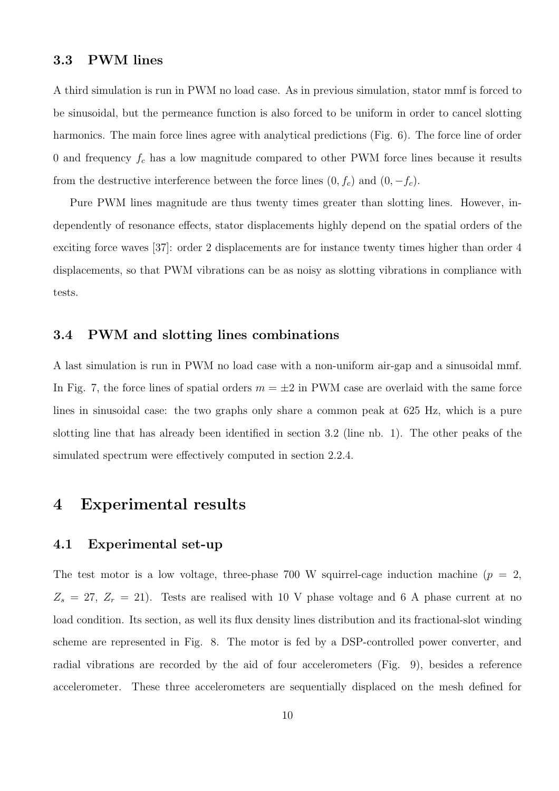### 3.3 PWM lines

A third simulation is run in PWM no load case. As in previous simulation, stator mmf is forced to be sinusoidal, but the permeance function is also forced to be uniform in order to cancel slotting harmonics. The main force lines agree with analytical predictions (Fig. 6). The force line of order 0 and frequency  $f_c$  has a low magnitude compared to other PWM force lines because it results from the destructive interference between the force lines  $(0, f_c)$  and  $(0, -f_c)$ .

Pure PWM lines magnitude are thus twenty times greater than slotting lines. However, independently of resonance effects, stator displacements highly depend on the spatial orders of the exciting force waves [37]: order 2 displacements are for instance twenty times higher than order 4 displacements, so that PWM vibrations can be as noisy as slotting vibrations in compliance with tests.

### 3.4 PWM and slotting lines combinations

A last simulation is run in PWM no load case with a non-uniform air-gap and a sinusoidal mmf. In Fig. 7, the force lines of spatial orders  $m = \pm 2$  in PWM case are overlaid with the same force lines in sinusoidal case: the two graphs only share a common peak at 625 Hz, which is a pure slotting line that has already been identified in section 3.2 (line nb. 1). The other peaks of the simulated spectrum were effectively computed in section 2.2.4.

## 4 Experimental results

### 4.1 Experimental set-up

The test motor is a low voltage, three-phase 700 W squirrel-cage induction machine  $(p = 2,$  $Z_s = 27, Z_r = 21$ . Tests are realised with 10 V phase voltage and 6 A phase current at no load condition. Its section, as well its flux density lines distribution and its fractional-slot winding scheme are represented in Fig. 8. The motor is fed by a DSP-controlled power converter, and radial vibrations are recorded by the aid of four accelerometers (Fig. 9), besides a reference accelerometer. These three accelerometers are sequentially displaced on the mesh defined for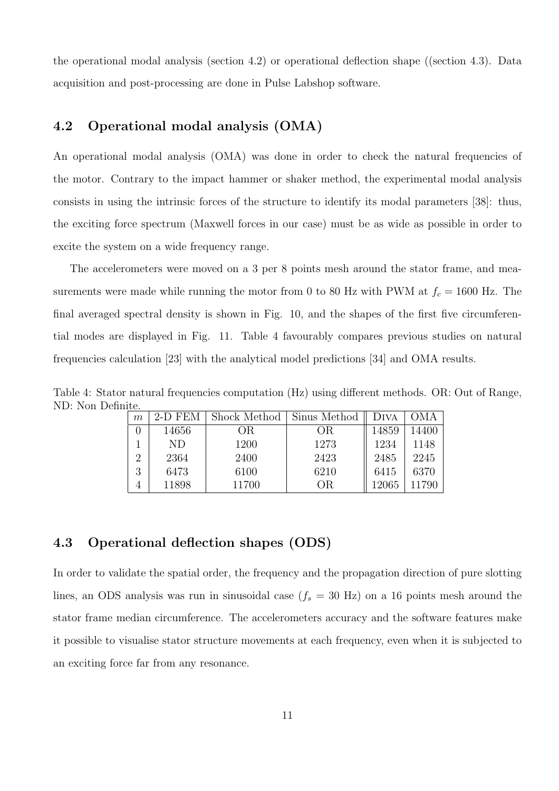the operational modal analysis (section 4.2) or operational deflection shape ((section 4.3). Data acquisition and post-processing are done in Pulse Labshop software.

### 4.2 Operational modal analysis (OMA)

An operational modal analysis (OMA) was done in order to check the natural frequencies of the motor. Contrary to the impact hammer or shaker method, the experimental modal analysis consists in using the intrinsic forces of the structure to identify its modal parameters [38]: thus, the exciting force spectrum (Maxwell forces in our case) must be as wide as possible in order to excite the system on a wide frequency range.

The accelerometers were moved on a 3 per 8 points mesh around the stator frame, and measurements were made while running the motor from 0 to 80 Hz with PWM at  $f_c = 1600$  Hz. The final averaged spectral density is shown in Fig. 10, and the shapes of the first five circumferential modes are displayed in Fig. 11. Table 4 favourably compares previous studies on natural frequencies calculation [23] with the analytical model predictions [34] and OMA results.

Table 4: Stator natural frequencies computation (Hz) using different methods. OR: Out of Range, ND: Non Definite.

| $\,m$ | 2-D FEM | Shock Method | Sinus Method | DIVA  |       |
|-------|---------|--------------|--------------|-------|-------|
|       | 14656   | ОR           | ΟR           | 14859 | 14400 |
|       | ND.     | 1200         | 1273         | 1234  | 1148  |
| 2     | 2364    | 2400         | 2423         | 2485  | 2245  |
| 3     | 6473    | 6100         | 6210         | 6415  | 6370  |
|       | 11898   | 11700        | OR.          | 12065 |       |

### 4.3 Operational deflection shapes (ODS)

In order to validate the spatial order, the frequency and the propagation direction of pure slotting lines, an ODS analysis was run in sinusoidal case  $(f_s = 30 \text{ Hz})$  on a 16 points mesh around the stator frame median circumference. The accelerometers accuracy and the software features make it possible to visualise stator structure movements at each frequency, even when it is subjected to an exciting force far from any resonance.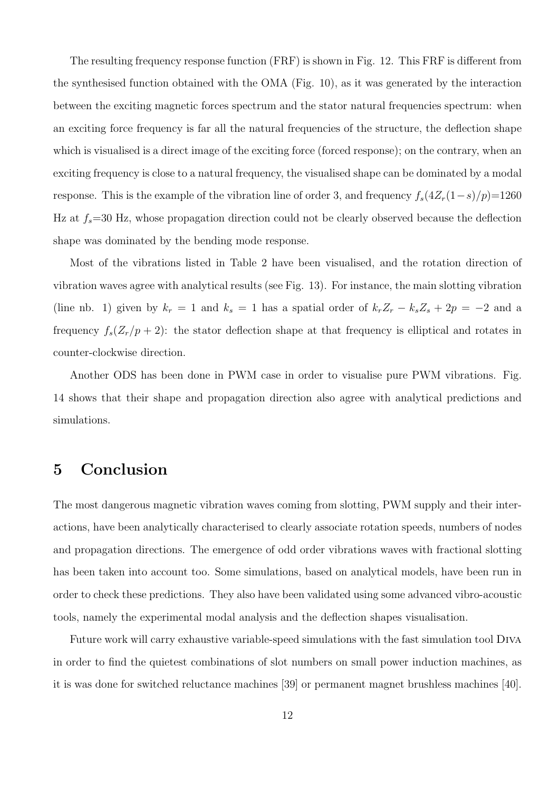The resulting frequency response function (FRF) is shown in Fig. 12. This FRF is different from the synthesised function obtained with the OMA (Fig. 10), as it was generated by the interaction between the exciting magnetic forces spectrum and the stator natural frequencies spectrum: when an exciting force frequency is far all the natural frequencies of the structure, the deflection shape which is visualised is a direct image of the exciting force (forced response); on the contrary, when an exciting frequency is close to a natural frequency, the visualised shape can be dominated by a modal response. This is the example of the vibration line of order 3, and frequency  $f_s(4Z_r(1-s)/p)=1260$ Hz at  $f_s$ =30 Hz, whose propagation direction could not be clearly observed because the deflection shape was dominated by the bending mode response.

Most of the vibrations listed in Table 2 have been visualised, and the rotation direction of vibration waves agree with analytical results (see Fig. 13). For instance, the main slotting vibration (line nb. 1) given by  $k_r = 1$  and  $k_s = 1$  has a spatial order of  $k_r Z_r - k_s Z_s + 2p = -2$  and a frequency  $f_s(Z_r/p + 2)$ : the stator deflection shape at that frequency is elliptical and rotates in counter-clockwise direction.

Another ODS has been done in PWM case in order to visualise pure PWM vibrations. Fig. 14 shows that their shape and propagation direction also agree with analytical predictions and simulations.

# 5 Conclusion

The most dangerous magnetic vibration waves coming from slotting, PWM supply and their interactions, have been analytically characterised to clearly associate rotation speeds, numbers of nodes and propagation directions. The emergence of odd order vibrations waves with fractional slotting has been taken into account too. Some simulations, based on analytical models, have been run in order to check these predictions. They also have been validated using some advanced vibro-acoustic tools, namely the experimental modal analysis and the deflection shapes visualisation.

Future work will carry exhaustive variable-speed simulations with the fast simulation tool Diva in order to find the quietest combinations of slot numbers on small power induction machines, as it is was done for switched reluctance machines [39] or permanent magnet brushless machines [40].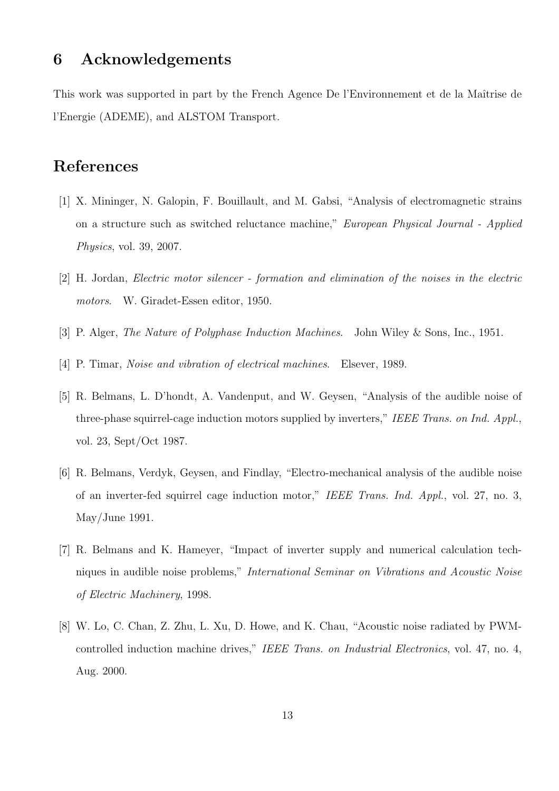# 6 Acknowledgements

This work was supported in part by the French Agence De l'Environnement et de la Maîtrise de l'Energie (ADEME), and ALSTOM Transport.

# References

- [1] X. Mininger, N. Galopin, F. Bouillault, and M. Gabsi, "Analysis of electromagnetic strains on a structure such as switched reluctance machine," European Physical Journal - Applied Physics, vol. 39, 2007.
- [2] H. Jordan, Electric motor silencer formation and elimination of the noises in the electric motors. W. Giradet-Essen editor, 1950.
- [3] P. Alger, The Nature of Polyphase Induction Machines. John Wiley & Sons, Inc., 1951.
- [4] P. Timar, Noise and vibration of electrical machines. Elsever, 1989.
- [5] R. Belmans, L. D'hondt, A. Vandenput, and W. Geysen, "Analysis of the audible noise of three-phase squirrel-cage induction motors supplied by inverters," IEEE Trans. on Ind. Appl., vol. 23, Sept/Oct 1987.
- [6] R. Belmans, Verdyk, Geysen, and Findlay, "Electro-mechanical analysis of the audible noise of an inverter-fed squirrel cage induction motor," IEEE Trans. Ind. Appl., vol. 27, no. 3, May/June 1991.
- [7] R. Belmans and K. Hameyer, "Impact of inverter supply and numerical calculation techniques in audible noise problems," International Seminar on Vibrations and Acoustic Noise of Electric Machinery, 1998.
- [8] W. Lo, C. Chan, Z. Zhu, L. Xu, D. Howe, and K. Chau, "Acoustic noise radiated by PWMcontrolled induction machine drives," IEEE Trans. on Industrial Electronics, vol. 47, no. 4, Aug. 2000.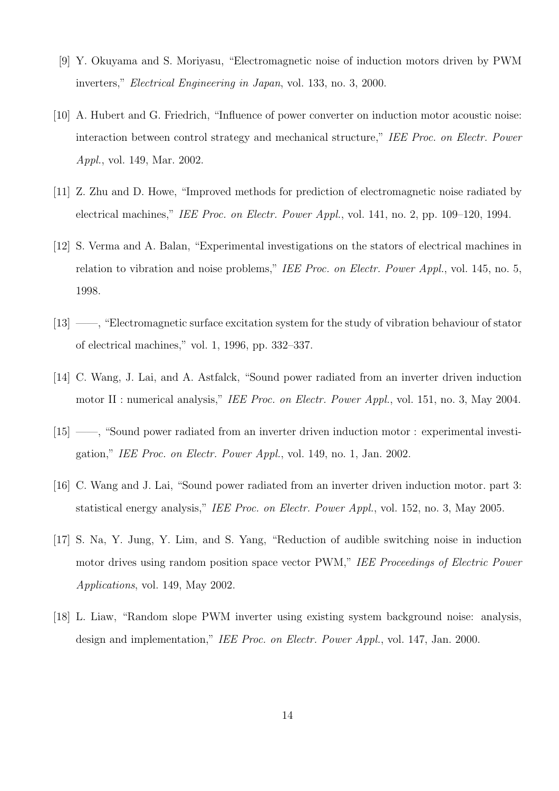- [9] Y. Okuyama and S. Moriyasu, "Electromagnetic noise of induction motors driven by PWM inverters," Electrical Engineering in Japan, vol. 133, no. 3, 2000.
- [10] A. Hubert and G. Friedrich, "Influence of power converter on induction motor acoustic noise: interaction between control strategy and mechanical structure," IEE Proc. on Electr. Power Appl., vol. 149, Mar. 2002.
- [11] Z. Zhu and D. Howe, "Improved methods for prediction of electromagnetic noise radiated by electrical machines," IEE Proc. on Electr. Power Appl., vol. 141, no. 2, pp. 109–120, 1994.
- [12] S. Verma and A. Balan, "Experimental investigations on the stators of electrical machines in relation to vibration and noise problems," IEE Proc. on Electr. Power Appl., vol. 145, no. 5, 1998.
- [13] ——, "Electromagnetic surface excitation system for the study of vibration behaviour of stator of electrical machines," vol. 1, 1996, pp. 332–337.
- [14] C. Wang, J. Lai, and A. Astfalck, "Sound power radiated from an inverter driven induction motor II : numerical analysis," IEE Proc. on Electr. Power Appl., vol. 151, no. 3, May 2004.
- [15] ——, "Sound power radiated from an inverter driven induction motor : experimental investigation," IEE Proc. on Electr. Power Appl., vol. 149, no. 1, Jan. 2002.
- [16] C. Wang and J. Lai, "Sound power radiated from an inverter driven induction motor. part 3: statistical energy analysis," IEE Proc. on Electr. Power Appl., vol. 152, no. 3, May 2005.
- [17] S. Na, Y. Jung, Y. Lim, and S. Yang, "Reduction of audible switching noise in induction motor drives using random position space vector PWM," IEE Proceedings of Electric Power Applications, vol. 149, May 2002.
- [18] L. Liaw, "Random slope PWM inverter using existing system background noise: analysis, design and implementation," IEE Proc. on Electr. Power Appl., vol. 147, Jan. 2000.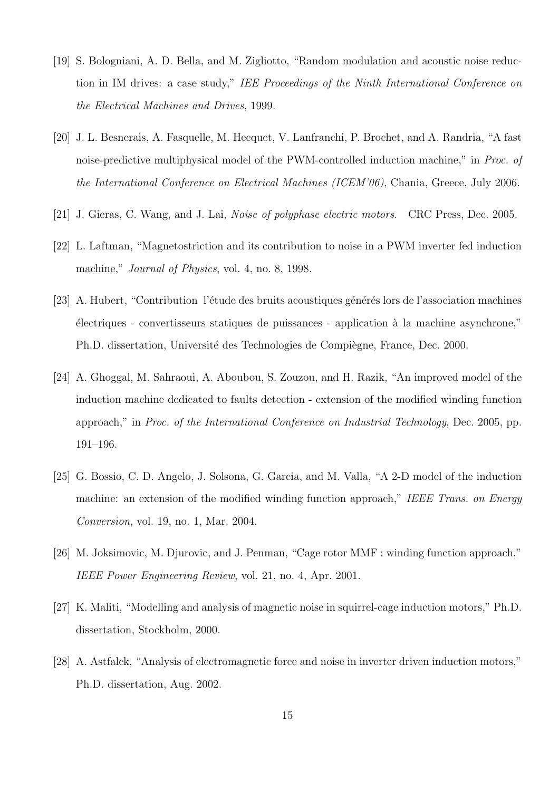- [19] S. Bologniani, A. D. Bella, and M. Zigliotto, "Random modulation and acoustic noise reduction in IM drives: a case study," IEE Proceedings of the Ninth International Conference on the Electrical Machines and Drives, 1999.
- [20] J. L. Besnerais, A. Fasquelle, M. Hecquet, V. Lanfranchi, P. Brochet, and A. Randria, "A fast noise-predictive multiphysical model of the PWM-controlled induction machine," in Proc. of the International Conference on Electrical Machines (ICEM'06), Chania, Greece, July 2006.
- [21] J. Gieras, C. Wang, and J. Lai, Noise of polyphase electric motors. CRC Press, Dec. 2005.
- [22] L. Laftman, "Magnetostriction and its contribution to noise in a PWM inverter fed induction machine," *Journal of Physics*, vol. 4, no. 8, 1998.
- [23] A. Hubert, "Contribution l'étude des bruits acoustiques générés lors de l'association machines ´electriques - convertisseurs statiques de puissances - application `a la machine asynchrone," Ph.D. dissertation, Université des Technologies de Compiègne, France, Dec. 2000.
- [24] A. Ghoggal, M. Sahraoui, A. Aboubou, S. Zouzou, and H. Razik, "An improved model of the induction machine dedicated to faults detection - extension of the modified winding function approach," in Proc. of the International Conference on Industrial Technology, Dec. 2005, pp. 191–196.
- [25] G. Bossio, C. D. Angelo, J. Solsona, G. Garcia, and M. Valla, "A 2-D model of the induction machine: an extension of the modified winding function approach." IEEE Trans. on Energy Conversion, vol. 19, no. 1, Mar. 2004.
- [26] M. Joksimovic, M. Djurovic, and J. Penman, "Cage rotor MMF : winding function approach," IEEE Power Engineering Review, vol. 21, no. 4, Apr. 2001.
- [27] K. Maliti, "Modelling and analysis of magnetic noise in squirrel-cage induction motors," Ph.D. dissertation, Stockholm, 2000.
- [28] A. Astfalck, "Analysis of electromagnetic force and noise in inverter driven induction motors," Ph.D. dissertation, Aug. 2002.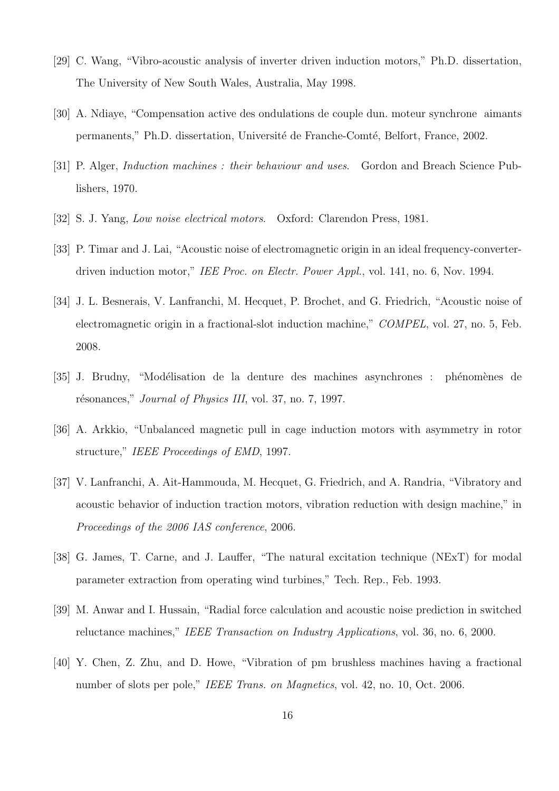- [29] C. Wang, "Vibro-acoustic analysis of inverter driven induction motors," Ph.D. dissertation, The University of New South Wales, Australia, May 1998.
- [30] A. Ndiaye, "Compensation active des ondulations de couple dun. moteur synchrone aimants permanents," Ph.D. dissertation, Université de Franche-Comté, Belfort, France, 2002.
- [31] P. Alger, Induction machines : their behaviour and uses. Gordon and Breach Science Publishers, 1970.
- [32] S. J. Yang, Low noise electrical motors. Oxford: Clarendon Press, 1981.
- [33] P. Timar and J. Lai, "Acoustic noise of electromagnetic origin in an ideal frequency-converterdriven induction motor," IEE Proc. on Electr. Power Appl., vol. 141, no. 6, Nov. 1994.
- [34] J. L. Besnerais, V. Lanfranchi, M. Hecquet, P. Brochet, and G. Friedrich, "Acoustic noise of electromagnetic origin in a fractional-slot induction machine," COMPEL, vol. 27, no. 5, Feb. 2008.
- [35] J. Brudny, "Modélisation de la denture des machines asynchrones : phénomènes de résonances," *Journal of Physics III*, vol. 37, no. 7, 1997.
- [36] A. Arkkio, "Unbalanced magnetic pull in cage induction motors with asymmetry in rotor structure," IEEE Proceedings of EMD, 1997.
- [37] V. Lanfranchi, A. Ait-Hammouda, M. Hecquet, G. Friedrich, and A. Randria, "Vibratory and acoustic behavior of induction traction motors, vibration reduction with design machine," in Proceedings of the 2006 IAS conference, 2006.
- [38] G. James, T. Carne, and J. Lauffer, "The natural excitation technique (NExT) for modal parameter extraction from operating wind turbines," Tech. Rep., Feb. 1993.
- [39] M. Anwar and I. Hussain, "Radial force calculation and acoustic noise prediction in switched reluctance machines," IEEE Transaction on Industry Applications, vol. 36, no. 6, 2000.
- [40] Y. Chen, Z. Zhu, and D. Howe, "Vibration of pm brushless machines having a fractional number of slots per pole," IEEE Trans. on Magnetics, vol. 42, no. 10, Oct. 2006.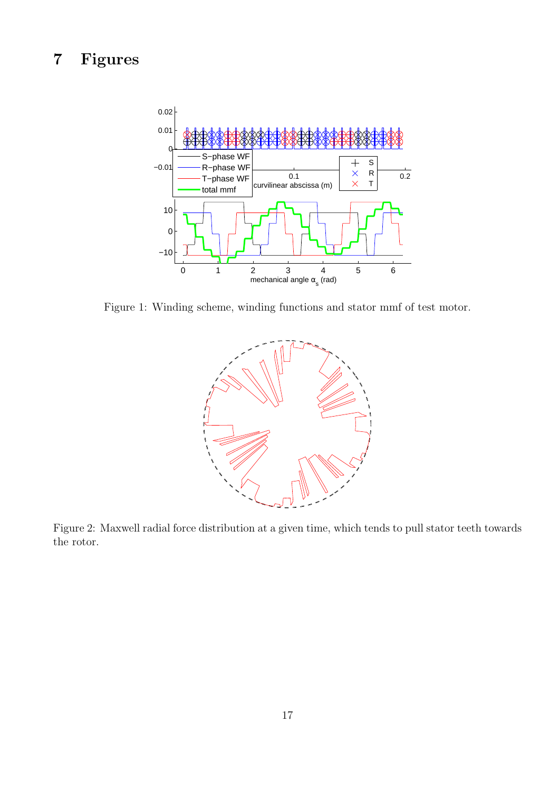# 7 Figures



Figure 1: Winding scheme, winding functions and stator mmf of test motor.



Figure 2: Maxwell radial force distribution at a given time, which tends to pull stator teeth towards the rotor.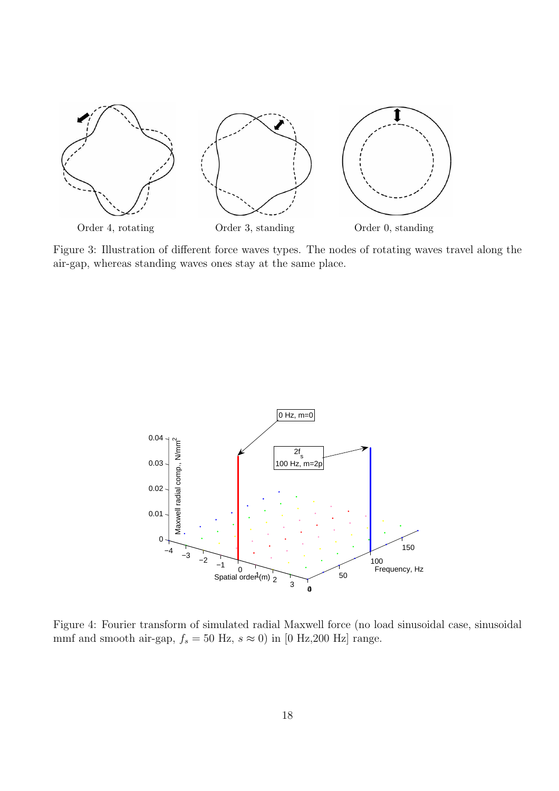

Figure 3: Illustration of different force waves types. The nodes of rotating waves travel along the air-gap, whereas standing waves ones stay at the same place.



Figure 4: Fourier transform of simulated radial Maxwell force (no load sinusoidal case, sinusoidal mmf and smooth air-gap,  $f_s = 50$  Hz,  $s \approx 0$ ) in [0 Hz, 200 Hz] range.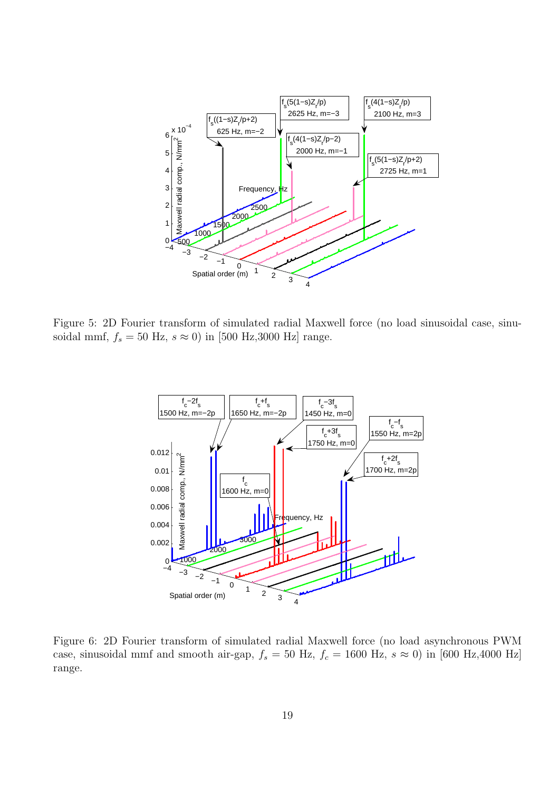

Figure 5: 2D Fourier transform of simulated radial Maxwell force (no load sinusoidal case, sinusoidal mmf,  $f_s = 50$  Hz,  $s \approx 0$ ) in [500 Hz,3000 Hz] range.



Figure 6: 2D Fourier transform of simulated radial Maxwell force (no load asynchronous PWM case, sinusoidal mmf and smooth air-gap,  $f_s = 50$  Hz,  $f_c = 1600$  Hz,  $s \approx 0$ ) in [600 Hz,4000 Hz] range.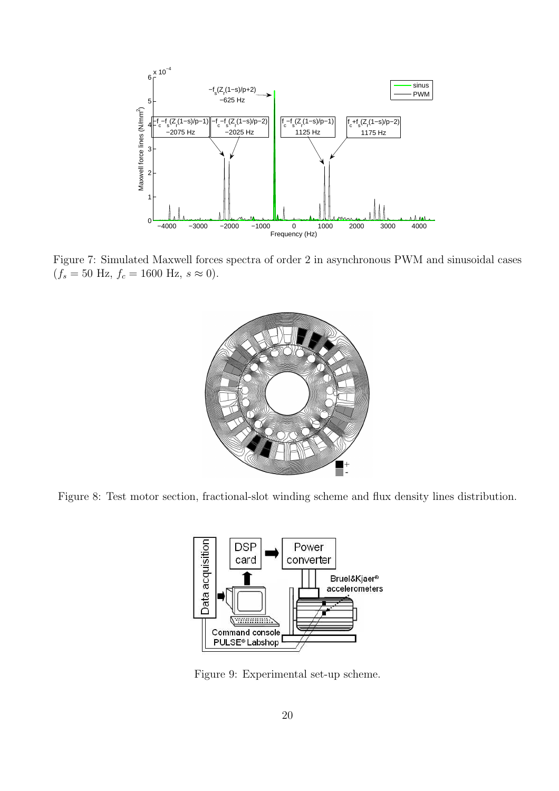

Figure 7: Simulated Maxwell forces spectra of order 2 in asynchronous PWM and sinusoidal cases  $(f_s = 50 \text{ Hz}, f_c = 1600 \text{ Hz}, s \approx 0).$ 



Figure 8: Test motor section, fractional-slot winding scheme and flux density lines distribution.



Figure 9: Experimental set-up scheme.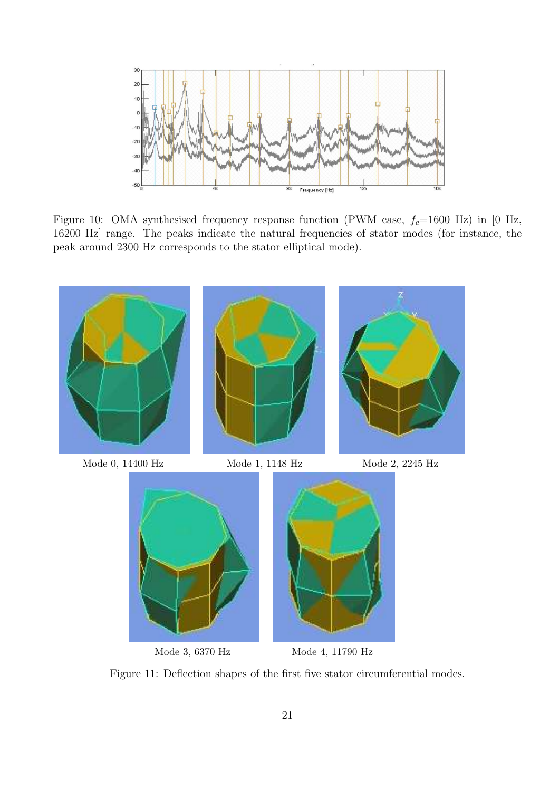

Figure 10: OMA synthesised frequency response function (PWM case,  $f_c$ =1600 Hz) in [0 Hz, 16200 Hz] range. The peaks indicate the natural frequencies of stator modes (for instance, the peak around 2300 Hz corresponds to the stator elliptical mode).



Mode 3, 6370 Hz Mode 4, 11790 Hz

Figure 11: Deflection shapes of the first five stator circumferential modes.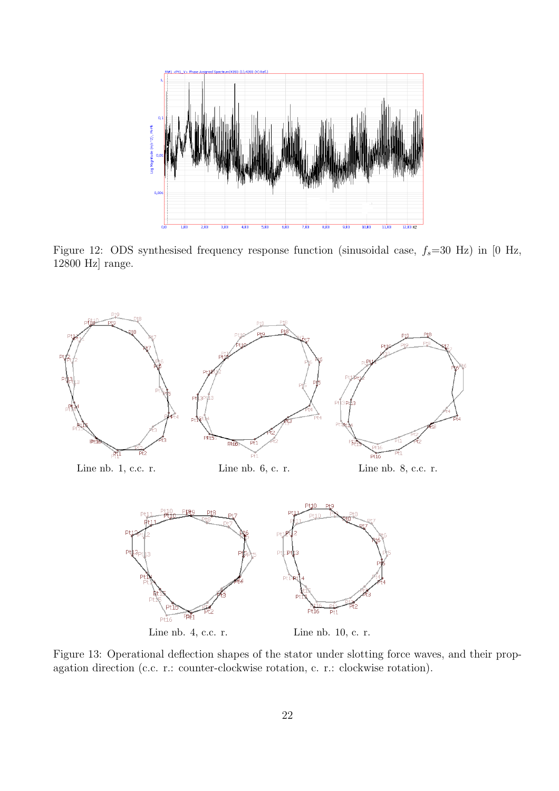

Figure 12: ODS synthesised frequency response function (sinusoidal case,  $f_s$ =30 Hz) in [0 Hz, 12800 Hz] range.



Figure 13: Operational deflection shapes of the stator under slotting force waves, and their propagation direction (c.c. r.: counter-clockwise rotation, c. r.: clockwise rotation).